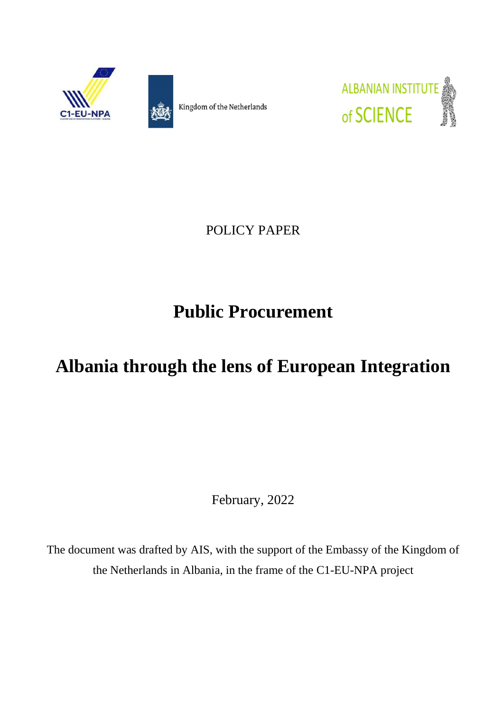



Kingdom of the Netherlands



POLICY PAPER

# **Public Procurement**

# **Albania through the lens of European Integration**

February, 2022

The document was drafted by AIS, with the support of the Embassy of the Kingdom of the Netherlands in Albania, in the frame of the C1-EU-NPA project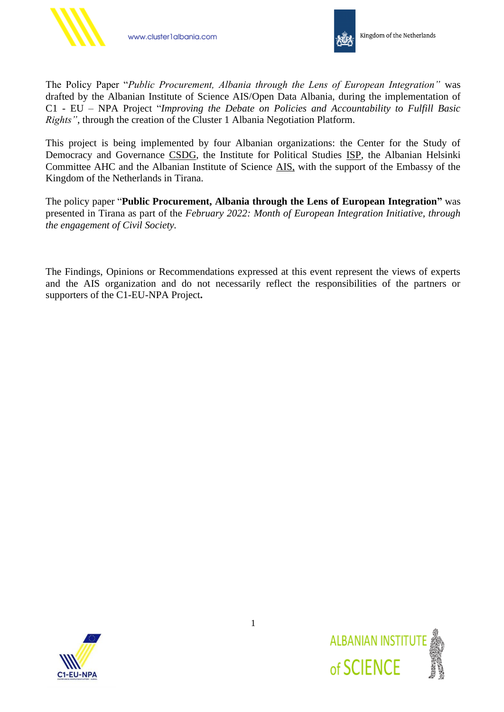



The Policy Paper "*Public Procurement, Albania through the Lens of European Integration"* was drafted by the Albanian Institute of Science AIS/Open Data Albania, during the implementation of C1 - EU – NPA Project "*Improving the Debate on Policies and Accountability to Fulfill Basic Rights"*, through the creation of the Cluster 1 Albania Negotiation Platform.

This project is being implemented by four Albanian organizations: the Center for the Study of Democracy and Governance CSDG, the Institute for Political Studies ISP, the Albanian Helsinki Committee AHC and the Albanian Institute of Science AIS, with the support of the Embassy of the Kingdom of the Netherlands in Tirana.

The policy paper "**Public Procurement, Albania through the Lens of European Integration"** was presented in Tirana as part of the *February 2022: Month of European Integration Initiative, through the engagement of Civil Society.*

The Findings, Opinions or Recommendations expressed at this event represent the views of experts and the AIS organization and do not necessarily reflect the responsibilities of the partners or supporters of the C1-EU-NPA Project**.**



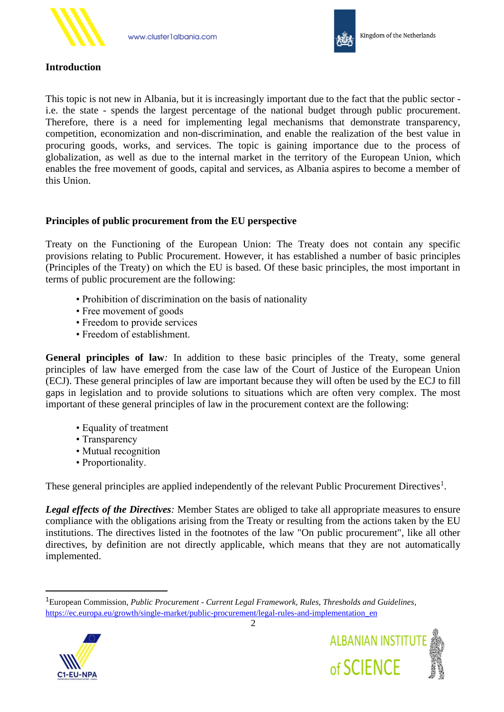



#### **Introduction**

This topic is not new in Albania, but it is increasingly important due to the fact that the public sector i.e. the state - spends the largest percentage of the national budget through public procurement. Therefore, there is a need for implementing legal mechanisms that demonstrate transparency, competition, economization and non-discrimination, and enable the realization of the best value in procuring goods, works, and services. The topic is gaining importance due to the process of globalization, as well as due to the internal market in the territory of the European Union, which enables the free movement of goods, capital and services, as Albania aspires to become a member of this Union.

#### **Principles of public procurement from the EU perspective**

Treaty on the Functioning of the European Union: The Treaty does not contain any specific provisions relating to Public Procurement. However, it has established a number of basic principles (Principles of the Treaty) on which the EU is based. Of these basic principles, the most important in terms of public procurement are the following:

- Prohibition of discrimination on the basis of nationality
- Free movement of goods
- Freedom to provide services
- Freedom of establishment.

**General principles of law***:* In addition to these basic principles of the Treaty, some general principles of law have emerged from the case law of the Court of Justice of the European Union (ECJ). These general principles of law are important because they will often be used by the ECJ to fill gaps in legislation and to provide solutions to situations which are often very complex. The most important of these general principles of law in the procurement context are the following:

- Equality of treatment
- Transparency
- Mutual recognition
- Proportionality.

These general principles are applied independently of the relevant Public Procurement Directives<sup>1</sup>.

*Legal effects of the Directives:* Member States are obliged to take all appropriate measures to ensure compliance with the obligations arising from the Treaty or resulting from the actions taken by the EU institutions. The directives listed in the footnotes of the law "On public procurement", like all other directives, by definition are not directly applicable, which means that they are not automatically implemented.

<sup>1</sup>European Commission, *Public Procurement - Current Legal Framework, Rules, Thresholds and Guidelines*, [https://ec.europa.eu/growth/single-market/public-procurement/legal-rules-and-implementation\\_en](https://ec.europa.eu/growth/single-market/public-procurement/legal-rules-and-implementation_en)



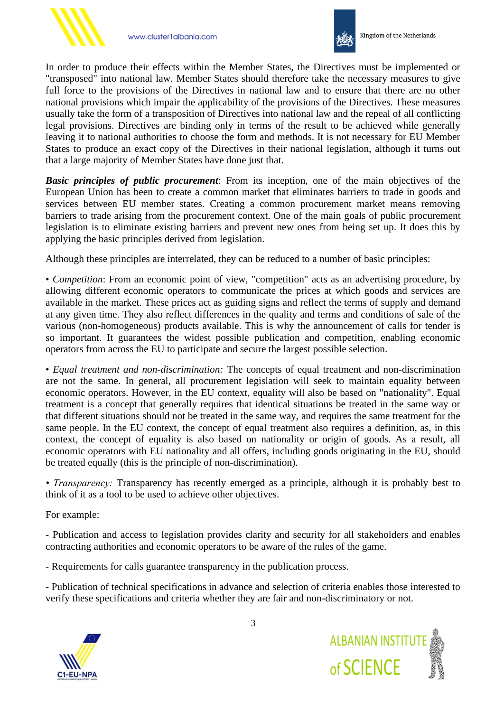



In order to produce their effects within the Member States, the Directives must be implemented or "transposed" into national law. Member States should therefore take the necessary measures to give full force to the provisions of the Directives in national law and to ensure that there are no other national provisions which impair the applicability of the provisions of the Directives. These measures usually take the form of a transposition of Directives into national law and the repeal of all conflicting legal provisions. Directives are binding only in terms of the result to be achieved while generally leaving it to national authorities to choose the form and methods. It is not necessary for EU Member States to produce an exact copy of the Directives in their national legislation, although it turns out that a large majority of Member States have done just that.

*Basic principles of public procurement*: From its inception, one of the main objectives of the European Union has been to create a common market that eliminates barriers to trade in goods and services between EU member states. Creating a common procurement market means removing barriers to trade arising from the procurement context. One of the main goals of public procurement legislation is to eliminate existing barriers and prevent new ones from being set up. It does this by applying the basic principles derived from legislation.

Although these principles are interrelated, they can be reduced to a number of basic principles:

• *Competition*: From an economic point of view, "competition" acts as an advertising procedure, by allowing different economic operators to communicate the prices at which goods and services are available in the market. These prices act as guiding signs and reflect the terms of supply and demand at any given time. They also reflect differences in the quality and terms and conditions of sale of the various (non-homogeneous) products available. This is why the announcement of calls for tender is so important. It guarantees the widest possible publication and competition, enabling economic operators from across the EU to participate and secure the largest possible selection.

• *Equal treatment and non-discrimination:* The concepts of equal treatment and non-discrimination are not the same. In general, all procurement legislation will seek to maintain equality between economic operators. However, in the EU context, equality will also be based on "nationality". Equal treatment is a concept that generally requires that identical situations be treated in the same way or that different situations should not be treated in the same way, and requires the same treatment for the same people. In the EU context, the concept of equal treatment also requires a definition, as, in this context, the concept of equality is also based on nationality or origin of goods. As a result, all economic operators with EU nationality and all offers, including goods originating in the EU, should be treated equally (this is the principle of non-discrimination).

*• Transparency:* Transparency has recently emerged as a principle, although it is probably best to think of it as a tool to be used to achieve other objectives.

For example:

- Publication and access to legislation provides clarity and security for all stakeholders and enables contracting authorities and economic operators to be aware of the rules of the game.

- Requirements for calls guarantee transparency in the publication process.

- Publication of technical specifications in advance and selection of criteria enables those interested to verify these specifications and criteria whether they are fair and non-discriminatory or not.



ALBANIAN INSTITUTE<br>of SCIENCE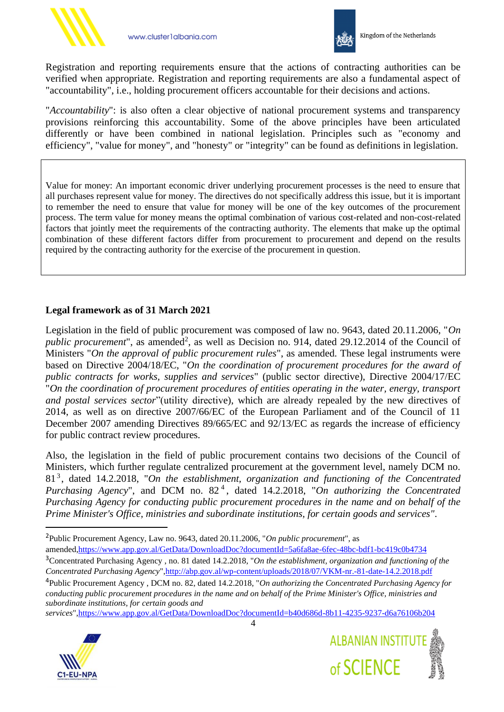



Registration and reporting requirements ensure that the actions of contracting authorities can be verified when appropriate. Registration and reporting requirements are also a fundamental aspect of "accountability", i.e., holding procurement officers accountable for their decisions and actions.

"*Accountability*": is also often a clear objective of national procurement systems and transparency provisions reinforcing this accountability. Some of the above principles have been articulated differently or have been combined in national legislation. Principles such as "economy and efficiency", "value for money", and "honesty" or "integrity" can be found as definitions in legislation.

Value for money: An important economic driver underlying procurement processes is the need to ensure that all purchases represent value for money. The directives do not specifically address this issue, but it is important to remember the need to ensure that value for money will be one of the key outcomes of the procurement process. The term value for money means the optimal combination of various cost-related and non-cost-related factors that jointly meet the requirements of the contracting authority. The elements that make up the optimal combination of these different factors differ from procurement to procurement and depend on the results required by the contracting authority for the exercise of the procurement in question.

#### **Legal framework as of 31 March 2021**

Legislation in the field of public procurement was composed of law no. 9643, dated 20.11.2006, "*On*  public procurement", as amended<sup>2</sup>, as well as Decision no. 914, dated 29.12.2014 of the Council of Ministers "*On the approval of public procurement rules*", as amended. These legal instruments were based on Directive 2004/18/EC, "*On the coordination of procurement procedures for the award of public contracts for works, supplies and services*" (public sector directive), Directive 2004/17/EC "*On the coordination of procurement procedures of entities operating in the water, energy, transport and postal services sector*"(utility directive), which are already repealed by the new directives of 2014, as well as on directive 2007/66/EC of the European Parliament and of the Council of 11 December 2007 amending Directives 89/665/EC and 92/13/EC as regards the increase of efficiency for public contract review procedures.

Also, the legislation in the field of public procurement contains two decisions of the Council of Ministers, which further regulate centralized procurement at the government level, namely DCM no. 81<sup>3</sup> , dated 14.2.2018, "*On the establishment, organization and functioning of the Concentrated*  Purchasing Agency", and DCM no.  $82<sup>4</sup>$ , dated 14.2.2018, "*On authorizing the Concentrated Purchasing Agency for conducting public procurement procedures in the name and on behalf of the Prime Minister's Office, ministries and subordinate institutions, for certain goods and services"*.

<sup>4</sup>Public Procurement Agency , DCM no. 82, dated 14.2.2018, "*On authorizing the Concentrated Purchasing Agency for conducting public procurement procedures in the name and on behalf of the Prime Minister's Office, ministries and subordinate institutions, for certain goods and* 

*services*"[,https://www.app.gov.al/GetData/DownloadDoc?documentId=b40d686d-8b11-4235-9237-d6a76106b204](https://www.app.gov.al/GetData/DownloadDoc?documentId=b40d686d-8b11-4235-9237-d6a76106b204)





<sup>2</sup>Public Procurement Agency, Law no. 9643, dated 20.11.2006, "*On public procurement*", as

amende[d,https://www.app.gov.al/GetData/DownloadDoc?documentId=5a6fa8ae-6fec-48bc-bdf1-bc419c0b4734](https://www.app.gov.al/GetData/DownloadDoc?documentId=5a6fa8ae-6fec-48bc-bdf1-bc419c0b4734) <sup>3</sup>Concentrated Purchasing Agency , no. 81 dated 14.2.2018, "*On the establishment, organization and functioning of the Concentrated Purchasing Agency*[",http://abp.gov.al/wp-content/uploads/2018/07/VKM-nr.-81-date-14.2.2018.pdf](http://abp.gov.al/wp-content/uploads/2018/07/VKM-nr.-81-date-14.2.2018.pdf)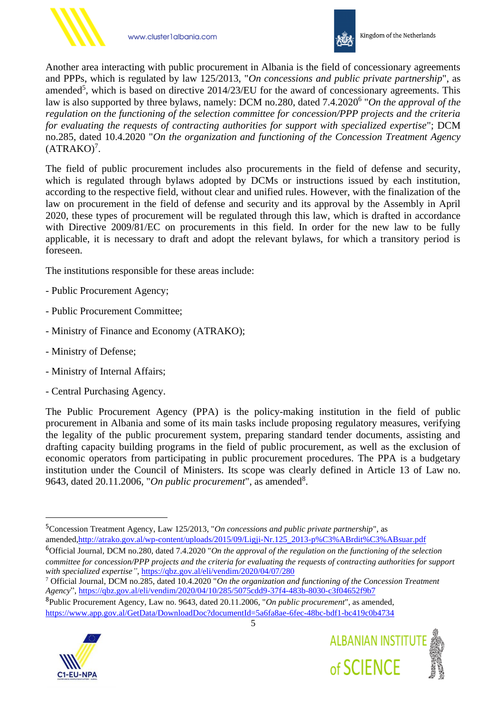

www.cluster1albania.com



Another area interacting with public procurement in Albania is the field of concessionary agreements and PPPs, which is regulated by law 125/2013, "*On concessions and public private partnership*", as amended<sup>5</sup>, which is based on directive 2014/23/EU for the award of concessionary agreements. This law is also supported by three bylaws, namely: DCM no.280, dated 7.4.2020<sup>6</sup> "*On the approval of the regulation on the functioning of the selection committee for concession/PPP projects and the criteria for evaluating the requests of contracting authorities for support with specialized expertise*"; DCM no.285, dated 10.4.2020 "*On the organization and functioning of the Concession Treatment Agency*   $(ATRAKO)^7$ .

The field of public procurement includes also procurements in the field of defense and security, which is regulated through bylaws adopted by DCMs or instructions issued by each institution, according to the respective field, without clear and unified rules. However, with the finalization of the law on procurement in the field of defense and security and its approval by the Assembly in April 2020, these types of procurement will be regulated through this law, which is drafted in accordance with Directive 2009/81/EC on procurements in this field. In order for the new law to be fully applicable, it is necessary to draft and adopt the relevant bylaws, for which a transitory period is foreseen.

The institutions responsible for these areas include:

- Public Procurement Agency;
- Public Procurement Committee;
- Ministry of Finance and Economy (ATRAKO);
- Ministry of Defense;
- Ministry of Internal Affairs;
- Central Purchasing Agency.

The Public Procurement Agency (PPA) is the policy-making institution in the field of public procurement in Albania and some of its main tasks include proposing regulatory measures, verifying the legality of the public procurement system, preparing standard tender documents, assisting and drafting capacity building programs in the field of public procurement, as well as the exclusion of economic operators from participating in public procurement procedures. The PPA is a budgetary institution under the Council of Ministers. Its scope was clearly defined in Article 13 of Law no. 9643, dated 20.11.2006, "*On public procurement*", as amended<sup>8</sup>.

<sup>8</sup>Public Procurement Agency, Law no. 9643, dated 20.11.2006, "*On public procurement*", as amended, <https://www.app.gov.al/GetData/DownloadDoc?documentId=5a6fa8ae-6fec-48bc-bdf1-bc419c0b4734>





<sup>5</sup>Concession Treatment Agency, Law 125/2013, "*On concessions and public private partnership*", as amende[d,http://atrako.gov.al/wp-content/uploads/2015/09/Ligji-Nr.125\\_2013-p%C3%ABrdit%C3%ABsuar.pdf](http://atrako.gov.al/wp-content/uploads/2015/09/Ligji-Nr.125_2013-p%C3%ABrdit%C3%ABsuar.pdf)

<sup>6</sup>Official Journal, DCM no.280, dated 7.4.2020 "*On the approval of the regulation on the functioning of the selection committee for concession/PPP projects and the criteria for evaluating the requests of contracting authorities for support with specialized expertise",* <https://qbz.gov.al/eli/vendim/2020/04/07/280>

<sup>7</sup> Official Journal, DCM no.285, dated 10.4.2020 "*On the organization and functioning of the Concession Treatment Agency*",<https://qbz.gov.al/eli/vendim/2020/04/10/285/5075cdd9-37f4-483b-8030-c3f04652f9b7>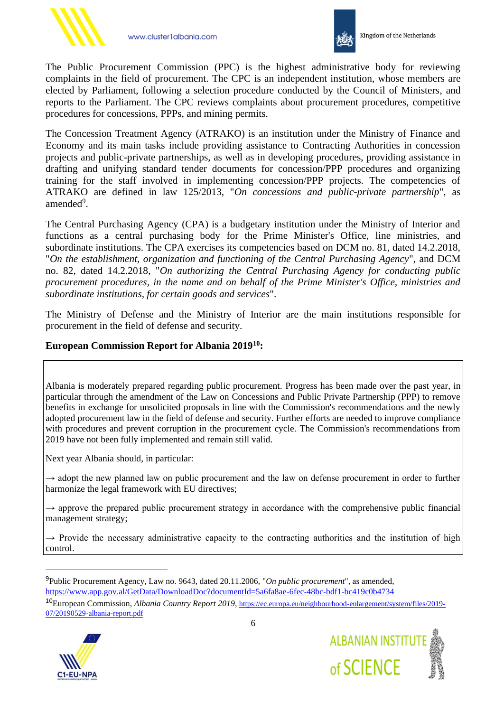



The Public Procurement Commission (PPC) is the highest administrative body for reviewing complaints in the field of procurement. The CPC is an independent institution, whose members are elected by Parliament, following a selection procedure conducted by the Council of Ministers, and reports to the Parliament. The CPC reviews complaints about procurement procedures, competitive procedures for concessions, PPPs, and mining permits.

The Concession Treatment Agency (ATRAKO) is an institution under the Ministry of Finance and Economy and its main tasks include providing assistance to Contracting Authorities in concession projects and public-private partnerships, as well as in developing procedures, providing assistance in drafting and unifying standard tender documents for concession/PPP procedures and organizing training for the staff involved in implementing concession/PPP projects. The competencies of ATRAKO are defined in law 125/2013, "*On concessions and public-private partnership*", as amended<sup>9</sup>.

The Central Purchasing Agency (CPA) is a budgetary institution under the Ministry of Interior and functions as a central purchasing body for the Prime Minister's Office, line ministries, and subordinate institutions. The CPA exercises its competencies based on DCM no. 81, dated 14.2.2018, "*On the establishment, organization and functioning of the Central Purchasing Agency*", and DCM no. 82, dated 14.2.2018, "*On authorizing the Central Purchasing Agency for conducting public procurement procedures, in the name and on behalf of the Prime Minister's Office, ministries and subordinate institutions, for certain goods and services*".

The Ministry of Defense and the Ministry of Interior are the main institutions responsible for procurement in the field of defense and security.

#### **European Commission Report for Albania 2019<sup>10</sup>:**

Albania is moderately prepared regarding public procurement. Progress has been made over the past year, in particular through the amendment of the Law on Concessions and Public Private Partnership (PPP) to remove benefits in exchange for unsolicited proposals in line with the Commission's recommendations and the newly adopted procurement law in the field of defense and security. Further efforts are needed to improve compliance with procedures and prevent corruption in the procurement cycle. The Commission's recommendations from 2019 have not been fully implemented and remain still valid.

Next year Albania should, in particular:

 $\rightarrow$  adopt the new planned law on public procurement and the law on defense procurement in order to further harmonize the legal framework with EU directives;

 $\rightarrow$  approve the prepared public procurement strategy in accordance with the comprehensive public financial management strategy;

 $\rightarrow$  Provide the necessary administrative capacity to the contracting authorities and the institution of high control.

<sup>10</sup>European Commission, *Albania Country Report 2019*, [https://ec.europa.eu/neighbourhood-enlargement/system/files/2019-](https://ec.europa.eu/neighbourhood-enlargement/system/files/2019-07/20190529-albania-report.pdf) [07/20190529-albania-report.pdf](https://ec.europa.eu/neighbourhood-enlargement/system/files/2019-07/20190529-albania-report.pdf)



<sup>9</sup>Public Procurement Agency, Law no. 9643, dated 20.11.2006, "*On public procurement*", as amended, <https://www.app.gov.al/GetData/DownloadDoc?documentId=5a6fa8ae-6fec-48bc-bdf1-bc419c0b4734>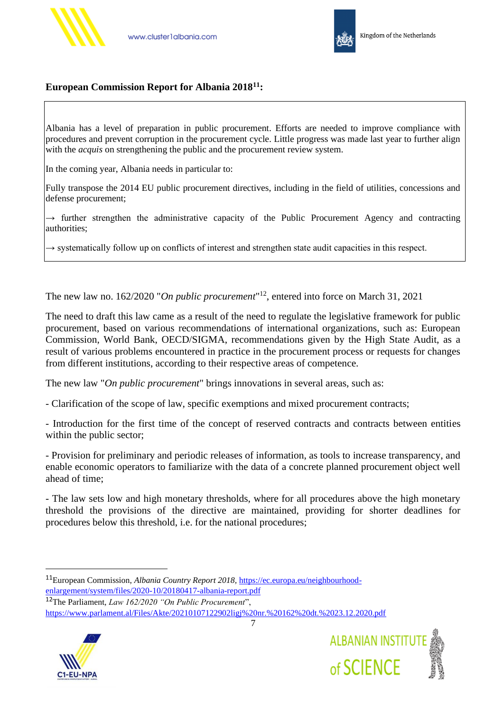



#### **European Commission Report for Albania 2018<sup>11</sup>:**

Albania has a level of preparation in public procurement. Efforts are needed to improve compliance with procedures and prevent corruption in the procurement cycle. Little progress was made last year to further align with the *acquis* on strengthening the public and the procurement review system.

In the coming year, Albania needs in particular to:

Fully transpose the 2014 EU public procurement directives, including in the field of utilities, concessions and defense procurement;

 $\rightarrow$  further strengthen the administrative capacity of the Public Procurement Agency and contracting authorities;

 $\rightarrow$  systematically follow up on conflicts of interest and strengthen state audit capacities in this respect.

The new law no. 162/2020 "*On public procurement*" <sup>12</sup>, entered into force on March 31, 2021

The need to draft this law came as a result of the need to regulate the legislative framework for public procurement, based on various recommendations of international organizations, such as: European Commission, World Bank, OECD/SIGMA, recommendations given by the High State Audit, as a result of various problems encountered in practice in the procurement process or requests for changes from different institutions, according to their respective areas of competence.

The new law "*On public procurement*" brings innovations in several areas, such as:

- Clarification of the scope of law, specific exemptions and mixed procurement contracts;

- Introduction for the first time of the concept of reserved contracts and contracts between entities within the public sector;

- Provision for preliminary and periodic releases of information, as tools to increase transparency, and enable economic operators to familiarize with the data of a concrete planned procurement object well ahead of time;

- The law sets low and high monetary thresholds, where for all procedures above the high monetary threshold the provisions of the directive are maintained, providing for shorter deadlines for procedures below this threshold, i.e. for the national procedures;

<sup>12</sup>The Parliament, *Law 162/2020 "On Public Procurement*", <https://www.parlament.al/Files/Akte/20210107122902ligj%20nr.%20162%20dt.%2023.12.2020.pdf>





<sup>11</sup>European Commission, *Albania Country Report 2018,* [https://ec.europa.eu/neighbourhood](https://ec.europa.eu/neighbourhood-enlargement/system/files/2020-10/20180417-albania-report.pdf)[enlargement/system/files/2020-10/20180417-albania-report.pdf](https://ec.europa.eu/neighbourhood-enlargement/system/files/2020-10/20180417-albania-report.pdf)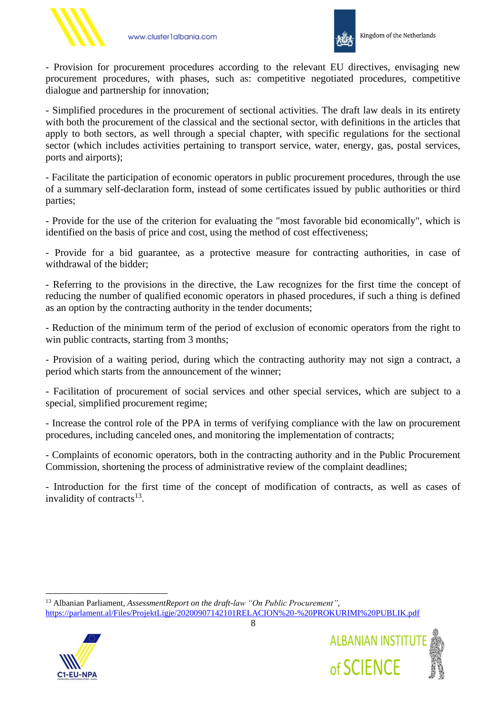



- Provision for procurement procedures according to the relevant EU directives, envisaging new procurement procedures, with phases, such as: competitive negotiated procedures, competitive dialogue and partnership for innovation;

- Simplified procedures in the procurement of sectional activities. The draft law deals in its entirety with both the procurement of the classical and the sectional sector, with definitions in the articles that apply to both sectors, as well through a special chapter, with specific regulations for the sectional sector (which includes activities pertaining to transport service, water, energy, gas, postal services, ports and airports);

- Facilitate the participation of economic operators in public procurement procedures, through the use of a summary self-declaration form, instead of some certificates issued by public authorities or third parties;

- Provide for the use of the criterion for evaluating the "most favorable bid economically", which is identified on the basis of price and cost, using the method of cost effectiveness;

- Provide for a bid guarantee, as a protective measure for contracting authorities, in case of withdrawal of the bidder;

- Referring to the provisions in the directive, the Law recognizes for the first time the concept of reducing the number of qualified economic operators in phased procedures, if such a thing is defined as an option by the contracting authority in the tender documents;

- Reduction of the minimum term of the period of exclusion of economic operators from the right to win public contracts, starting from 3 months;

- Provision of a waiting period, during which the contracting authority may not sign a contract, a period which starts from the announcement of the winner;

- Facilitation of procurement of social services and other special services, which are subject to a special, simplified procurement regime;

- Increase the control role of the PPA in terms of verifying compliance with the law on procurement procedures, including canceled ones, and monitoring the implementation of contracts;

- Complaints of economic operators, both in the contracting authority and in the Public Procurement Commission, shortening the process of administrative review of the complaint deadlines;

- Introduction for the first time of the concept of modification of contracts, as well as cases of invalidity of contracts<sup>13</sup>.

<sup>13</sup> Albanian Parliament, *AssessmentReport on the draft-law "On Public Procurement"*, <https://parlament.al/Files/ProjektLigje/20200907142101RELACION%20-%20PROKURIMI%20PUBLIK.pdf>



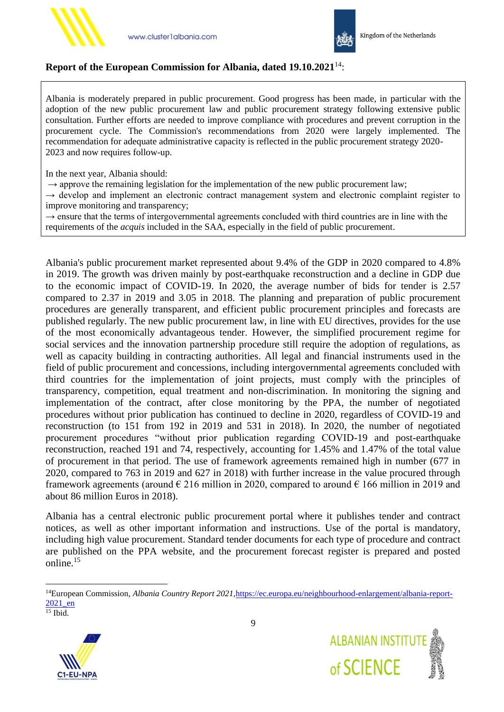



#### **Report of the European Commission for Albania, dated 19.10.2021**<sup>14</sup>:

Albania is moderately prepared in public procurement. Good progress has been made, in particular with the adoption of the new public procurement law and public procurement strategy following extensive public consultation. Further efforts are needed to improve compliance with procedures and prevent corruption in the procurement cycle. The Commission's recommendations from 2020 were largely implemented. The recommendation for adequate administrative capacity is reflected in the public procurement strategy 2020- 2023 and now requires follow-up.

In the next year, Albania should:

 $\rightarrow$  approve the remaining legislation for the implementation of the new public procurement law;

 $\rightarrow$  develop and implement an electronic contract management system and electronic complaint register to improve monitoring and transparency;

 $\rightarrow$  ensure that the terms of intergovernmental agreements concluded with third countries are in line with the requirements of the *acquis* included in the SAA, especially in the field of public procurement.

Albania's public procurement market represented about 9.4% of the GDP in 2020 compared to 4.8% in 2019. The growth was driven mainly by post-earthquake reconstruction and a decline in GDP due to the economic impact of COVID-19. In 2020, the average number of bids for tender is 2.57 compared to 2.37 in 2019 and 3.05 in 2018. The planning and preparation of public procurement procedures are generally transparent, and efficient public procurement principles and forecasts are published regularly. The new public procurement law, in line with EU directives, provides for the use of the most economically advantageous tender. However, the simplified procurement regime for social services and the innovation partnership procedure still require the adoption of regulations, as well as capacity building in contracting authorities. All legal and financial instruments used in the field of public procurement and concessions, including intergovernmental agreements concluded with third countries for the implementation of joint projects, must comply with the principles of transparency, competition, equal treatment and non-discrimination. In monitoring the signing and implementation of the contract, after close monitoring by the PPA, the number of negotiated procedures without prior publication has continued to decline in 2020, regardless of COVID-19 and reconstruction (to 151 from 192 in 2019 and 531 in 2018). In 2020, the number of negotiated procurement procedures "without prior publication regarding COVID-19 and post-earthquake reconstruction, reached 191 and 74, respectively, accounting for 1.45% and 1.47% of the total value of procurement in that period. The use of framework agreements remained high in number (677 in 2020, compared to 763 in 2019 and 627 in 2018) with further increase in the value procured through framework agreements (around  $\epsilon$  216 million in 2020, compared to around  $\epsilon$  166 million in 2019 and about 86 million Euros in 2018).

Albania has a central electronic public procurement portal where it publishes tender and contract notices, as well as other important information and instructions. Use of the portal is mandatory, including high value procurement. Standard tender documents for each type of procedure and contract are published on the PPA website, and the procurement forecast register is prepared and posted online.<sup>15</sup>

<sup>&</sup>lt;sup>14</sup>European Commission, *Albania Country Report 2021*, [https://ec.europa.eu/neighbourhood-enlargement/albania-report-](https://ec.europa.eu/neighbourhood-enlargement/albania-report-2021_en)[2021\\_en](https://ec.europa.eu/neighbourhood-enlargement/albania-report-2021_en)





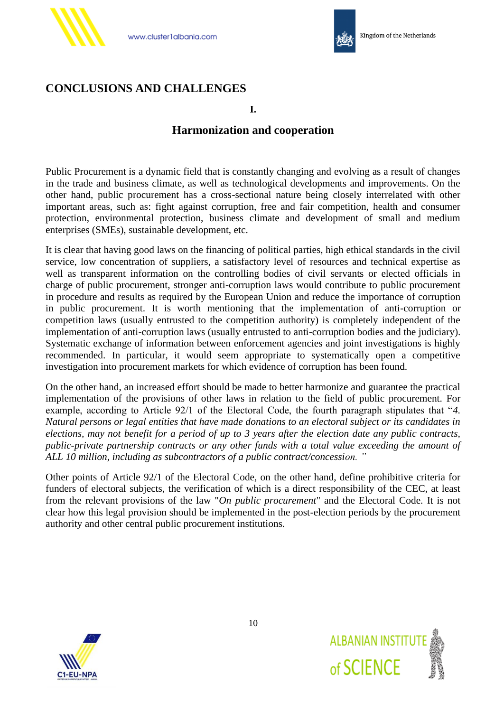



# **CONCLUSIONS AND CHALLENGES**

**I.**

#### **Harmonization and cooperation**

Public Procurement is a dynamic field that is constantly changing and evolving as a result of changes in the trade and business climate, as well as technological developments and improvements. On the other hand, public procurement has a cross-sectional nature being closely interrelated with other important areas, such as: fight against corruption, free and fair competition, health and consumer protection, environmental protection, business climate and development of small and medium enterprises (SMEs), sustainable development, etc.

It is clear that having good laws on the financing of political parties, high ethical standards in the civil service, low concentration of suppliers, a satisfactory level of resources and technical expertise as well as transparent information on the controlling bodies of civil servants or elected officials in charge of public procurement, stronger anti-corruption laws would contribute to public procurement in procedure and results as required by the European Union and reduce the importance of corruption in public procurement. It is worth mentioning that the implementation of anti-corruption or competition laws (usually entrusted to the competition authority) is completely independent of the implementation of anti-corruption laws (usually entrusted to anti-corruption bodies and the judiciary). Systematic exchange of information between enforcement agencies and joint investigations is highly recommended. In particular, it would seem appropriate to systematically open a competitive investigation into procurement markets for which evidence of corruption has been found.

On the other hand, an increased effort should be made to better harmonize and guarantee the practical implementation of the provisions of other laws in relation to the field of public procurement. For example, according to Article 92/1 of the Electoral Code, the fourth paragraph stipulates that "*4. Natural persons or legal entities that have made donations to an electoral subject or its candidates in elections, may not benefit for a period of up to 3 years after the election date any public contracts, public-private partnership contracts or any other funds with a total value exceeding the amount of ALL 10 million, including as subcontractors of a public contract/concession. "*

Other points of Article 92/1 of the Electoral Code, on the other hand, define prohibitive criteria for funders of electoral subjects, the verification of which is a direct responsibility of the CEC, at least from the relevant provisions of the law "*On public procurement*" and the Electoral Code. It is not clear how this legal provision should be implemented in the post-election periods by the procurement authority and other central public procurement institutions.



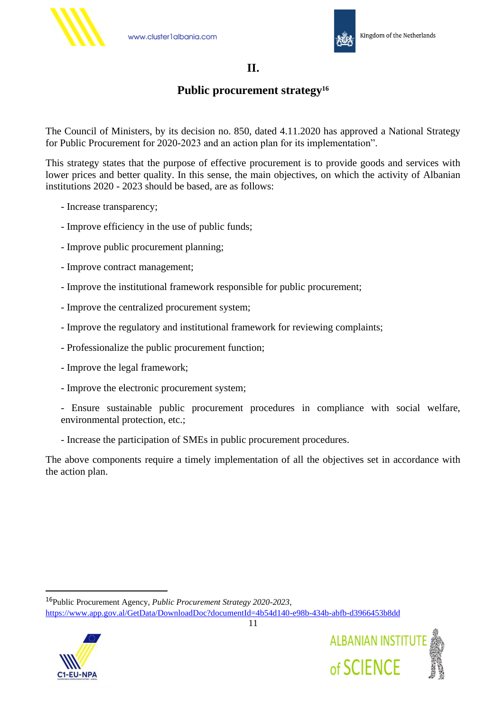



# **II.**

## **Public procurement strategy<sup>16</sup>**

The Council of Ministers, by its decision no. 850, dated 4.11.2020 has approved a National Strategy for Public Procurement for 2020-2023 and an action plan for its implementation".

This strategy states that the purpose of effective procurement is to provide goods and services with lower prices and better quality. In this sense, the main objectives, on which the activity of Albanian institutions 2020 - 2023 should be based, are as follows:

- Increase transparency;
- Improve efficiency in the use of public funds;
- Improve public procurement planning;
- Improve contract management;
- Improve the institutional framework responsible for public procurement;
- Improve the centralized procurement system;
- Improve the regulatory and institutional framework for reviewing complaints;
- Professionalize the public procurement function;
- Improve the legal framework;
- Improve the electronic procurement system;
- Ensure sustainable public procurement procedures in compliance with social welfare, environmental protection, etc.;
- Increase the participation of SMEs in public procurement procedures.

The above components require a timely implementation of all the objectives set in accordance with the action plan.

<sup>16</sup>Public Procurement Agency, *Public Procurement Strategy 2020-2023*, <https://www.app.gov.al/GetData/DownloadDoc?documentId=4b54d140-e98b-434b-abfb-d3966453b8dd>



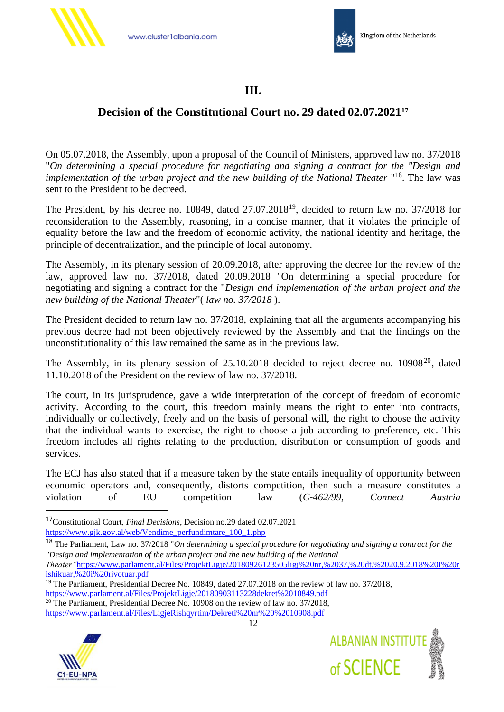



# **III.**

# **Decision of the Constitutional Court no. 29 dated 02.07.2021<sup>17</sup>**

On 05.07.2018, the Assembly, upon a proposal of the Council of Ministers, approved law no. 37/2018 "*On determining a special procedure for negotiating and signing a contract for the "Design and*  implementation of the urban project and the new building of the National Theater "<sup>18</sup>. The law was sent to the President to be decreed.

The President, by his decree no. 10849, dated 27.07.2018<sup>19</sup>, decided to return law no. 37/2018 for reconsideration to the Assembly, reasoning, in a concise manner, that it violates the principle of equality before the law and the freedom of economic activity, the national identity and heritage, the principle of decentralization, and the principle of local autonomy.

The Assembly, in its plenary session of 20.09.2018, after approving the decree for the review of the law, approved law no. 37/2018, dated 20.09.2018 "On determining a special procedure for negotiating and signing a contract for the "*Design and implementation of the urban project and the new building of the National Theater*"( *law no. 37/2018* ).

The President decided to return law no. 37/2018, explaining that all the arguments accompanying his previous decree had not been objectively reviewed by the Assembly and that the findings on the unconstitutionality of this law remained the same as in the previous law.

The Assembly, in its plenary session of  $25.10.2018$  decided to reject decree no.  $10908^{20}$ , dated 11.10.2018 of the President on the review of law no. 37/2018.

The court, in its jurisprudence, gave a wide interpretation of the concept of freedom of economic activity. According to the court, this freedom mainly means the right to enter into contracts, individually or collectively, freely and on the basis of personal will, the right to choose the activity that the individual wants to exercise, the right to choose a job according to preference, etc. This freedom includes all rights relating to the production, distribution or consumption of goods and services.

The ECJ has also stated that if a measure taken by the state entails inequality of opportunity between economic operators and, consequently, distorts competition, then such a measure constitutes a violation of EU competition law (*C-462/99, Connect Austria* 

 $20$  The Parliament, Presidential Decree No. 10908 on the review of law no. 37/2018, <https://www.parlament.al/Files/LigjeRishqyrtim/Dekreti%20nr%20%2010908.pdf>





<sup>17</sup>Constitutional Court, *Final Decisions*, Decision no.29 dated 02.07.2021 [https://www.gjk.gov.al/web/Vendime\\_perfundimtare\\_100\\_1.php](https://www.gjk.gov.al/web/Vendime_perfundimtare_100_1.php)

<sup>18</sup> The Parliament, Law no. 37/2018 "*On determining a special procedure for negotiating and signing a contract for the "Design and implementation of the urban project and the new building of the National* 

*Theater"*[https://www.parlament.al/Files/ProjektLigje/20180926123505ligj%20nr,%2037,%20dt.%2020.9.2018%20I%20r](https://www.parlament.al/Files/ProjektLigje/20180926123505ligj%20nr,%2037,%20dt.%2020.9.2018%20I%20rishikuar,%20i%20rivotuar.pdf) [ishikuar,%20i%20rivotuar.pdf](https://www.parlament.al/Files/ProjektLigje/20180926123505ligj%20nr,%2037,%20dt.%2020.9.2018%20I%20rishikuar,%20i%20rivotuar.pdf)

<sup>&</sup>lt;sup>19</sup> The Parliament, Presidential Decree No. 10849, dated 27.07.2018 on the review of law no. 37/2018, <https://www.parlament.al/Files/ProjektLigje/20180903113228dekret%2010849.pdf>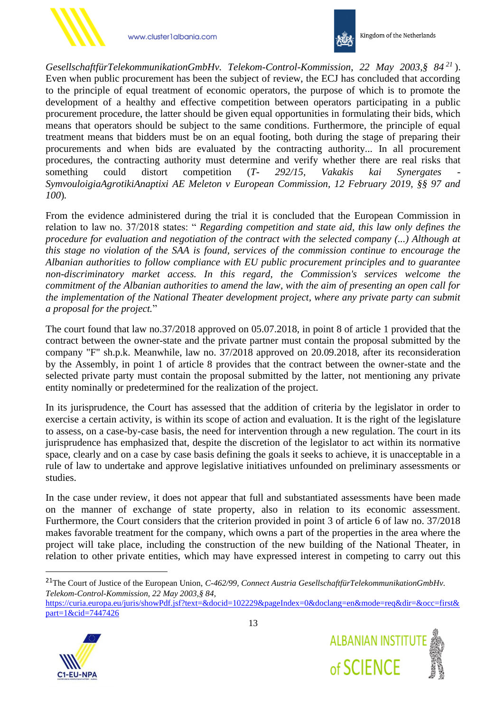

www.cluster1albania.com



*GesellschaftfürTelekommunikationGmbHv. Telekom-Control-Kommission, 22 May 2003,§ 84 <sup>21</sup>* ). Even when public procurement has been the subject of review, the ECJ has concluded that according to the principle of equal treatment of economic operators, the purpose of which is to promote the development of a healthy and effective competition between operators participating in a public procurement procedure, the latter should be given equal opportunities in formulating their bids, which means that operators should be subject to the same conditions. Furthermore, the principle of equal treatment means that bidders must be on an equal footing, both during the stage of preparing their procurements and when bids are evaluated by the contracting authority... In all procurement procedures, the contracting authority must determine and verify whether there are real risks that something could distort competition (*T- 292/15, Vakakis kai Synergates - SymvouloigiaAgrotikiAnaptixi AE Meleton v European Commission, 12 February 2019, §§ 97 and 100*)*.*

From the evidence administered during the trial it is concluded that the European Commission in relation to law no. 37/2018 states: " *Regarding competition and state aid, this law only defines the procedure for evaluation and negotiation of the contract with the selected company (...) Although at this stage no violation of the SAA is found, services of the commission continue to encourage the Albanian authorities to follow compliance with EU public procurement principles and to guarantee non-discriminatory market access. In this regard, the Commission's services welcome the commitment of the Albanian authorities to amend the law, with the aim of presenting an open call for the implementation of the National Theater development project, where any private party can submit a proposal for the project.*"

The court found that law no.37/2018 approved on 05.07.2018, in point 8 of article 1 provided that the contract between the owner-state and the private partner must contain the proposal submitted by the company "F" sh.p.k. Meanwhile, law no. 37/2018 approved on 20.09.2018, after its reconsideration by the Assembly, in point 1 of article 8 provides that the contract between the owner-state and the selected private party must contain the proposal submitted by the latter, not mentioning any private entity nominally or predetermined for the realization of the project.

In its jurisprudence, the Court has assessed that the addition of criteria by the legislator in order to exercise a certain activity, is within its scope of action and evaluation. It is the right of the legislature to assess, on a case-by-case basis, the need for intervention through a new regulation. The court in its jurisprudence has emphasized that, despite the discretion of the legislator to act within its normative space, clearly and on a case by case basis defining the goals it seeks to achieve, it is unacceptable in a rule of law to undertake and approve legislative initiatives unfounded on preliminary assessments or studies.

In the case under review, it does not appear that full and substantiated assessments have been made on the manner of exchange of state property, also in relation to its economic assessment. Furthermore, the Court considers that the criterion provided in point 3 of article 6 of law no. 37/2018 makes favorable treatment for the company, which owns a part of the properties in the area where the project will take place, including the construction of the new building of the National Theater, in relation to other private entities, which may have expressed interest in competing to carry out this

[https://curia.europa.eu/juris/showPdf.jsf?text=&docid=102229&pageIndex=0&doclang=en&mode=req&dir=&occ=first&](https://curia.europa.eu/juris/showPdf.jsf?text=&docid=102229&pageIndex=0&doclang=en&mode=req&dir=&occ=first&part=1&cid=7447426) [part=1&cid=7447426](https://curia.europa.eu/juris/showPdf.jsf?text=&docid=102229&pageIndex=0&doclang=en&mode=req&dir=&occ=first&part=1&cid=7447426)





<sup>21</sup>The Court of Justice of the European Union, *C-462/99, Connect Austria GesellschaftfürTelekommunikationGmbHv. Telekom-Control-Kommission, 22 May 2003,§ 84,*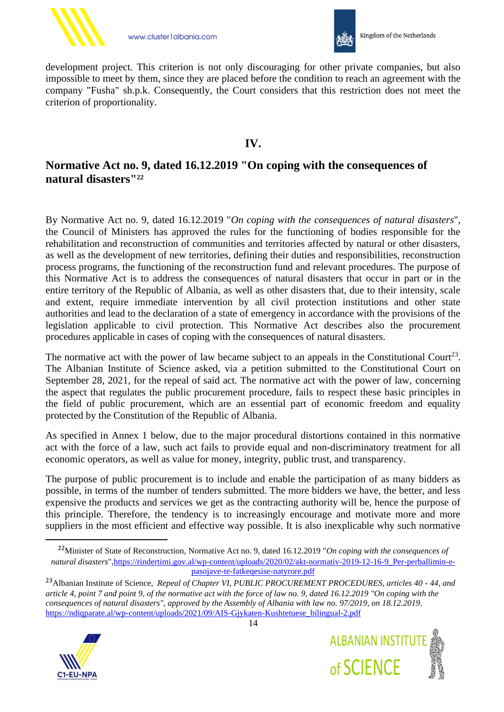



development project. This criterion is not only discouraging for other private companies, but also impossible to meet by them, since they are placed before the condition to reach an agreement with the company "Fusha" sh.p.k. Consequently, the Court considers that this restriction does not meet the criterion of proportionality.

## **IV.**

# **Normative Act no. 9, dated 16.12.2019 "On coping with the consequences of natural disasters"<sup>22</sup>**

By Normative Act no. 9, dated 16.12.2019 "*On coping with the consequences of natural disasters*", the Council of Ministers has approved the rules for the functioning of bodies responsible for the rehabilitation and reconstruction of communities and territories affected by natural or other disasters, as well as the development of new territories, defining their duties and responsibilities, reconstruction process programs, the functioning of the reconstruction fund and relevant procedures. The purpose of this Normative Act is to address the consequences of natural disasters that occur in part or in the entire territory of the Republic of Albania, as well as other disasters that, due to their intensity, scale and extent, require immediate intervention by all civil protection institutions and other state authorities and lead to the declaration of a state of emergency in accordance with the provisions of the legislation applicable to civil protection. This Normative Act describes also the procurement procedures applicable in cases of coping with the consequences of natural disasters.

The normative act with the power of law became subject to an appeals in the Constitutional Court<sup>23</sup>. The Albanian Institute of Science asked, via a petition submitted to the Constitutional Court on September 28, 2021, for the repeal of said act. The normative act with the power of law, concerning the aspect that regulates the public procurement procedure, fails to respect these basic principles in the field of public procurement, which are an essential part of economic freedom and equality protected by the Constitution of the Republic of Albania.

As specified in Annex 1 below, due to the major procedural distortions contained in this normative act with the force of a law, such act fails to provide equal and non-discriminatory treatment for all economic operators, as well as value for money, integrity, public trust, and transparency.

The purpose of public procurement is to include and enable the participation of as many bidders as possible, in terms of the number of tenders submitted. The more bidders we have, the better, and less expensive the products and services we get as the contracting authority will be, hence the purpose of this principle. Therefore, the tendency is to increasingly encourage and motivate more and more suppliers in the most efficient and effective way possible. It is also inexplicable why such normative

<sup>23</sup>Albanian Institute of Science, *Repeal of Chapter VI, PUBLIC PROCUREMENT PROCEDURES, articles 40 - 44, and article 4, point 7 and point 9, of the normative act with the force of law no. 9, dated 16.12.2019 "On coping with the consequences of natural disasters", approved by the Assembly of Albania with law no. 97/2019, on 18.12.2019*, [https://ndiqparate.al/wp-content/uploads/2021/09/AIS-Gjykaten-Kushtetuese\\_bilingual-2.pdf](https://ndiqparate.al/wp-content/uploads/2021/09/AIS-Gjykaten-Kushtetuese_bilingual-2.pdf)





<sup>22</sup>Minister of State of Reconstruction, Normative Act no. 9, dated 16.12.2019 "*On coping with the consequences of natural disasters*"[,https://rindertimi.gov.al/wp-content/uploads/2020/02/akt-normativ-2019-12-16-9\\_Per-perballimin-e](https://rindertimi.gov.al/wp-content/uploads/2020/02/akt-normativ-2019-12-16-9_Per-perballimin-e-pasojave-te-fatkeqesise-natyrore.pdf)[pasojave-te-fatkeqesise-natyrore.pdf](https://rindertimi.gov.al/wp-content/uploads/2020/02/akt-normativ-2019-12-16-9_Per-perballimin-e-pasojave-te-fatkeqesise-natyrore.pdf)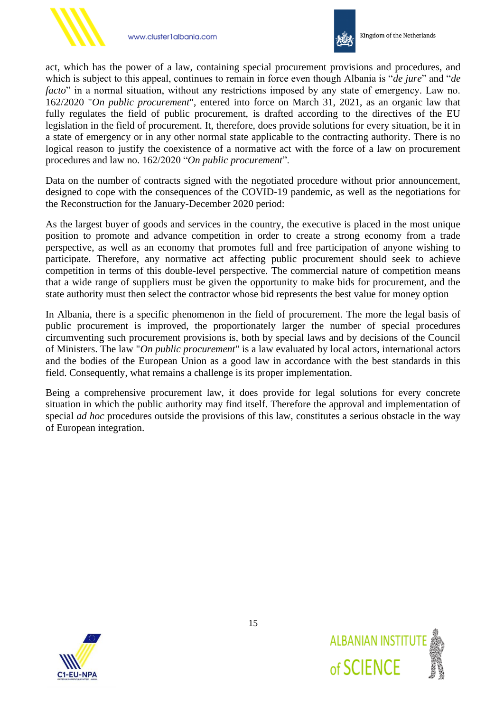



act, which has the power of a law, containing special procurement provisions and procedures, and which is subject to this appeal, continues to remain in force even though Albania is "*de jure*" and "*de facto*" in a normal situation, without any restrictions imposed by any state of emergency. Law no. 162/2020 "*On public procurement*", entered into force on March 31, 2021, as an organic law that fully regulates the field of public procurement, is drafted according to the directives of the EU legislation in the field of procurement. It, therefore, does provide solutions for every situation, be it in a state of emergency or in any other normal state applicable to the contracting authority. There is no logical reason to justify the coexistence of a normative act with the force of a law on procurement procedures and law no. 162/2020 "*On public procurement*".

Data on the number of contracts signed with the negotiated procedure without prior announcement, designed to cope with the consequences of the COVID-19 pandemic, as well as the negotiations for the Reconstruction for the January-December 2020 period:

As the largest buyer of goods and services in the country, the executive is placed in the most unique position to promote and advance competition in order to create a strong economy from a trade perspective, as well as an economy that promotes full and free participation of anyone wishing to participate. Therefore, any normative act affecting public procurement should seek to achieve competition in terms of this double-level perspective. The commercial nature of competition means that a wide range of suppliers must be given the opportunity to make bids for procurement, and the state authority must then select the contractor whose bid represents the best value for money option

In Albania, there is a specific phenomenon in the field of procurement. The more the legal basis of public procurement is improved, the proportionately larger the number of special procedures circumventing such procurement provisions is, both by special laws and by decisions of the Council of Ministers. The law "*On public procurement*" is a law evaluated by local actors, international actors and the bodies of the European Union as a good law in accordance with the best standards in this field. Consequently, what remains a challenge is its proper implementation.

Being a comprehensive procurement law, it does provide for legal solutions for every concrete situation in which the public authority may find itself. Therefore the approval and implementation of special *ad hoc* procedures outside the provisions of this law, constitutes a serious obstacle in the way of European integration.



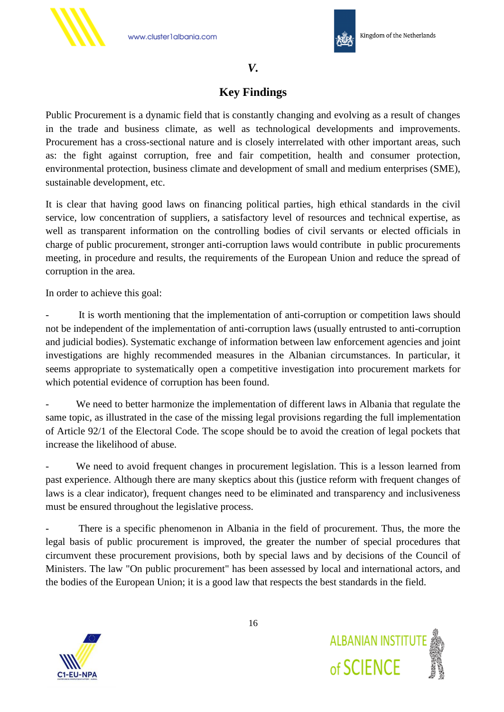



## *V.*

# **Key Findings**

Public Procurement is a dynamic field that is constantly changing and evolving as a result of changes in the trade and business climate, as well as technological developments and improvements. Procurement has a cross-sectional nature and is closely interrelated with other important areas, such as: the fight against corruption, free and fair competition, health and consumer protection, environmental protection, business climate and development of small and medium enterprises (SME), sustainable development, etc.

It is clear that having good laws on financing political parties, high ethical standards in the civil service, low concentration of suppliers, a satisfactory level of resources and technical expertise, as well as transparent information on the controlling bodies of civil servants or elected officials in charge of public procurement, stronger anti-corruption laws would contribute in public procurements meeting, in procedure and results, the requirements of the European Union and reduce the spread of corruption in the area.

In order to achieve this goal:

It is worth mentioning that the implementation of anti-corruption or competition laws should not be independent of the implementation of anti-corruption laws (usually entrusted to anti-corruption and judicial bodies). Systematic exchange of information between law enforcement agencies and joint investigations are highly recommended measures in the Albanian circumstances. In particular, it seems appropriate to systematically open a competitive investigation into procurement markets for which potential evidence of corruption has been found.

We need to better harmonize the implementation of different laws in Albania that regulate the same topic, as illustrated in the case of the missing legal provisions regarding the full implementation of Article 92/1 of the Electoral Code. The scope should be to avoid the creation of legal pockets that increase the likelihood of abuse.

We need to avoid frequent changes in procurement legislation. This is a lesson learned from past experience. Although there are many skeptics about this (justice reform with frequent changes of laws is a clear indicator), frequent changes need to be eliminated and transparency and inclusiveness must be ensured throughout the legislative process.

There is a specific phenomenon in Albania in the field of procurement. Thus, the more the legal basis of public procurement is improved, the greater the number of special procedures that circumvent these procurement provisions, both by special laws and by decisions of the Council of Ministers. The law "On public procurement" has been assessed by local and international actors, and the bodies of the European Union; it is a good law that respects the best standards in the field.



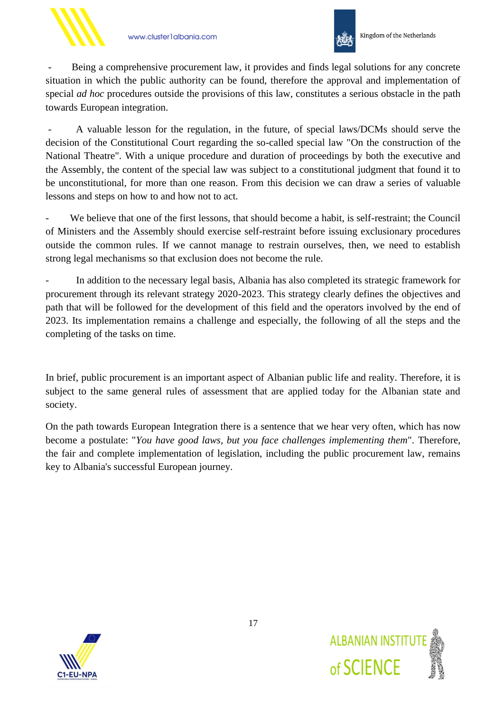



Being a comprehensive procurement law, it provides and finds legal solutions for any concrete situation in which the public authority can be found, therefore the approval and implementation of special *ad hoc* procedures outside the provisions of this law, constitutes a serious obstacle in the path towards European integration.

A valuable lesson for the regulation, in the future, of special laws/DCMs should serve the decision of the Constitutional Court regarding the so-called special law "On the construction of the National Theatre". With a unique procedure and duration of proceedings by both the executive and the Assembly, the content of the special law was subject to a constitutional judgment that found it to be unconstitutional, for more than one reason. From this decision we can draw a series of valuable lessons and steps on how to and how not to act.

We believe that one of the first lessons, that should become a habit, is self-restraint; the Council of Ministers and the Assembly should exercise self-restraint before issuing exclusionary procedures outside the common rules. If we cannot manage to restrain ourselves, then, we need to establish strong legal mechanisms so that exclusion does not become the rule.

In addition to the necessary legal basis, Albania has also completed its strategic framework for procurement through its relevant strategy 2020-2023. This strategy clearly defines the objectives and path that will be followed for the development of this field and the operators involved by the end of 2023. Its implementation remains a challenge and especially, the following of all the steps and the completing of the tasks on time.

In brief, public procurement is an important aspect of Albanian public life and reality. Therefore, it is subject to the same general rules of assessment that are applied today for the Albanian state and society.

On the path towards European Integration there is a sentence that we hear very often, which has now become a postulate: "*You have good laws, but you face challenges implementing them*". Therefore, the fair and complete implementation of legislation, including the public procurement law, remains key to Albania's successful European journey.



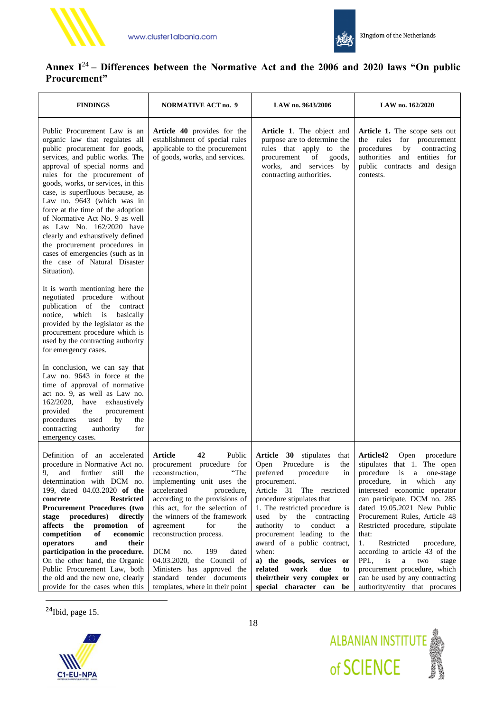



#### Annex I<sup>24</sup> – Differences between the Normative Act and the 2006 and 2020 laws "On public **Procurement"**

| <b>FINDINGS</b>                                                                                                                                                                                                                                                                                                                                                                                                                                                                                                                                                        | <b>NORMATIVE ACT no. 9</b>                                                                                                                                                                                                                                                                                                                                                                                                                                                  | LAW no. 9643/2006                                                                                                                                                                                                                                                                                                                                                                                                                                                                         | LAW no. 162/2020                                                                                                                                                                                                                                                                                                                                                                                                                                                                                                                 |
|------------------------------------------------------------------------------------------------------------------------------------------------------------------------------------------------------------------------------------------------------------------------------------------------------------------------------------------------------------------------------------------------------------------------------------------------------------------------------------------------------------------------------------------------------------------------|-----------------------------------------------------------------------------------------------------------------------------------------------------------------------------------------------------------------------------------------------------------------------------------------------------------------------------------------------------------------------------------------------------------------------------------------------------------------------------|-------------------------------------------------------------------------------------------------------------------------------------------------------------------------------------------------------------------------------------------------------------------------------------------------------------------------------------------------------------------------------------------------------------------------------------------------------------------------------------------|----------------------------------------------------------------------------------------------------------------------------------------------------------------------------------------------------------------------------------------------------------------------------------------------------------------------------------------------------------------------------------------------------------------------------------------------------------------------------------------------------------------------------------|
| Public Procurement Law is an<br>organic law that regulates all<br>public procurement for goods,<br>services, and public works. The<br>approval of special norms and<br>rules for the procurement of<br>goods, works, or services, in this<br>case, is superfluous because, as<br>Law no. 9643 (which was in<br>force at the time of the adoption<br>of Normative Act No. 9 as well<br>as Law No. 162/2020 have<br>clearly and exhaustively defined<br>the procurement procedures in<br>cases of emergencies (such as in<br>the case of Natural Disaster<br>Situation). | Article 40 provides for the<br>establishment of special rules<br>applicable to the procurement<br>of goods, works, and services.                                                                                                                                                                                                                                                                                                                                            | Article 1. The object and<br>purpose are to determine the<br>rules that apply to the<br>procurement<br>of<br>goods,<br>works,<br>and<br>services<br>by<br>contracting authorities.                                                                                                                                                                                                                                                                                                        | <b>Article 1.</b> The scope sets out<br>rules<br>for procurement<br>the<br>procedures<br>by<br>contracting<br>authorities<br>entities for<br>and<br>public contracts<br>and design<br>contests.                                                                                                                                                                                                                                                                                                                                  |
| It is worth mentioning here the<br>negotiated procedure<br>without<br>publication of the<br>contract<br>notice, which<br>is<br>basically<br>provided by the legislator as the<br>procurement procedure which is<br>used by the contracting authority<br>for emergency cases.                                                                                                                                                                                                                                                                                           |                                                                                                                                                                                                                                                                                                                                                                                                                                                                             |                                                                                                                                                                                                                                                                                                                                                                                                                                                                                           |                                                                                                                                                                                                                                                                                                                                                                                                                                                                                                                                  |
| In conclusion, we can say that<br>Law no. 9643 in force at the<br>time of approval of normative<br>act no. 9, as well as Law no.<br>exhaustively<br>162/2020,<br>have<br>provided<br>procurement<br>the<br>procedures<br>used<br>by<br>the<br>contracting<br>authority<br>for<br>emergency cases.                                                                                                                                                                                                                                                                      |                                                                                                                                                                                                                                                                                                                                                                                                                                                                             |                                                                                                                                                                                                                                                                                                                                                                                                                                                                                           |                                                                                                                                                                                                                                                                                                                                                                                                                                                                                                                                  |
| Definition of an accelerated<br>procedure in Normative Act no.<br>still<br>9,<br>further<br>and<br>the<br>determination with DCM no.<br>199, dated 04.03.2020 of the<br><b>Restricted</b><br>concrete<br><b>Procurement Procedures (two</b><br>procedures)<br>directly<br>stage<br>promotion<br>affects the<br>- of<br>competition<br>оf<br>economic<br>and<br>their<br>operators<br>participation in the procedure.<br>On the other hand, the Organic<br>Public Procurement Law, both<br>the old and the new one, clearly<br>provide for the cases when this          | <b>Article</b><br>42<br>Public<br>procedure<br>for<br>procurement<br>reconstruction,<br>"The<br>implementing unit uses the<br>accelerated<br>procedure,<br>according to the provisions of<br>this act, for the selection of<br>the winners of the framework<br>agreement<br>for<br>the<br>reconstruction process.<br>199<br>DCM<br>no.<br>dated<br>04.03.2020, the Council of<br>Ministers has approved the<br>standard tender documents<br>templates, where in their point | Article<br>30<br>stipulates<br>that<br>Procedure<br>is<br>the<br>Open<br>preferred<br>procedure<br>1n<br>procurement.<br>Article<br>31<br>The restricted<br>procedure stipulates that<br>1. The restricted procedure is<br>the contracting<br>used<br>by<br>authority<br>conduct<br>to<br>a<br>procurement leading to the<br>award of a public contract,<br>when:<br>a) the goods, services or<br>work<br>related<br>due<br>to<br>their/their very complex or<br>special character can be | Article42<br>Open<br>procedure<br>stipulates that 1.<br>The open<br>procedure<br>is<br>a<br>one-stage<br>which<br>procedure,<br>in<br>any<br>interested economic operator<br>can participate. DCM no. 285<br>dated 19.05.2021 New Public<br>Procurement Rules, Article 48<br>Restricted procedure, stipulate<br>that:<br>1.<br>Restricted<br>procedure,<br>according to article 43 of the<br>PPL,<br>is<br>a<br>two<br>stage<br>procurement procedure, which<br>can be used by any contracting<br>authority/entity that procures |

<sup>24</sup>Ibid, page 15.



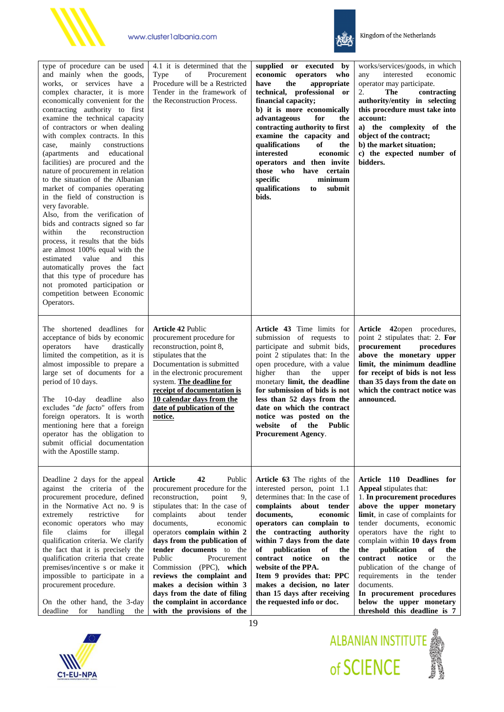



| type of procedure can be used<br>and mainly when the goods,<br>works, or services have a<br>complex character, it is more<br>economically convenient for the<br>contracting authority to first<br>examine the technical capacity<br>of contractors or when dealing<br>with complex contracts. In this<br>mainly<br>constructions<br>case,<br>(apartments and educational<br>facilities) are procured and the<br>nature of procurement in relation<br>to the situation of the Albanian<br>market of companies operating<br>in the field of construction is<br>very favorable.<br>Also, from the verification of<br>bids and contracts signed so far<br>reconstruction<br>within<br>the<br>process, it results that the bids<br>are almost 100% equal with the<br>value<br>and<br>this<br>estimated<br>automatically proves the fact<br>that this type of procedure has<br>not promoted participation or<br>competition between Economic<br>Operators. | 4.1 it is determined that the<br>Type<br>οf<br>Procurement<br>Procedure will be a Restricted<br>Tender in the framework of<br>the Reconstruction Process.                                                                                                                                                                                                                                                                                                                                     | supplied or executed by<br>economic operators<br>who<br>have<br>the<br>appropriate<br>technical, professional or<br>financial capacity;<br>b) it is more economically<br>for<br>advantageous<br>the<br>contracting authority to first<br>examine the capacity and<br>qualifications<br>of<br>the<br>interested<br>economic<br>operators and then invite<br>those who<br>have certain<br>specific<br>minimum<br>qualifications<br>submit<br>to<br>bids.             | works/services/goods, in which<br>any<br>interested<br>economic<br>operator may participate.<br>2.<br>The<br>contracting<br>authority/entity in selecting<br>this procedure must take into<br>account:<br>a) the complexity of the<br>object of the contract;<br>b) the market situation;<br>c) the expected number of<br>bidders.                                                                                                                                                                      |
|------------------------------------------------------------------------------------------------------------------------------------------------------------------------------------------------------------------------------------------------------------------------------------------------------------------------------------------------------------------------------------------------------------------------------------------------------------------------------------------------------------------------------------------------------------------------------------------------------------------------------------------------------------------------------------------------------------------------------------------------------------------------------------------------------------------------------------------------------------------------------------------------------------------------------------------------------|-----------------------------------------------------------------------------------------------------------------------------------------------------------------------------------------------------------------------------------------------------------------------------------------------------------------------------------------------------------------------------------------------------------------------------------------------------------------------------------------------|--------------------------------------------------------------------------------------------------------------------------------------------------------------------------------------------------------------------------------------------------------------------------------------------------------------------------------------------------------------------------------------------------------------------------------------------------------------------|---------------------------------------------------------------------------------------------------------------------------------------------------------------------------------------------------------------------------------------------------------------------------------------------------------------------------------------------------------------------------------------------------------------------------------------------------------------------------------------------------------|
| The shortened deadlines for<br>acceptance of bids by economic<br>have<br>drastically<br>operators<br>limited the competition, as it is<br>almost impossible to prepare a<br>large set of documents for a<br>period of 10 days.<br>$10$ -day<br>deadline<br>also<br>The<br>excludes "de facto" offers from<br>foreign operators. It is worth<br>mentioning here that a foreign<br>operator has the obligation to<br>submit official documentation<br>with the Apostille stamp.                                                                                                                                                                                                                                                                                                                                                                                                                                                                        | Article 42 Public<br>procurement procedure for<br>reconstruction, point 8,<br>stipulates that the<br>Documentation is submitted<br>in the electronic procurement<br>system. The deadline for<br>receipt of documentation is<br>10 calendar days from the<br>date of publication of the<br>notice.                                                                                                                                                                                             | Article 43 Time limits for<br>submission of requests to<br>participate and submit bids,<br>point 2 stipulates that: In the<br>open procedure, with a value<br>higher<br>than<br>the<br>upper<br>monetary limit, the deadline<br>for submission of bids is not<br>less than 52 days from the<br>date on which the contract<br>notice was posted on the<br>website<br>of the<br>Public<br>Procurement Agency.                                                        | Article 42 open procedures,<br>point 2 stipulates that: 2. For<br>procurement<br>procedures<br>above the monetary upper<br>limit, the minimum deadline<br>for receipt of bids is not less<br>than 35 days from the date on<br>which the contract notice was<br>announced.                                                                                                                                                                                                                               |
| Deadline 2 days for the appeal<br>against the criteria of the<br>procurement procedure, defined<br>in the Normative Act no. 9 is<br>extremely<br>restrictive<br>for<br>economic operators who may<br>file<br>claims<br>for<br>illegal<br>qualification criteria. We clarify<br>the fact that it is precisely the<br>qualification criteria that create<br>premises/incentive s or make it<br>impossible to participate in a<br>procurement procedure.<br>On the other hand, the 3-day<br>deadline<br>handling<br>for<br>the                                                                                                                                                                                                                                                                                                                                                                                                                          | Article<br>42<br>Public<br>procurement procedure for the<br>point<br>reconstruction,<br>9.<br>stipulates that: In the case of<br>complaints<br>about<br>tender<br>documents,<br>economic<br>operators complain within 2<br>days from the publication of<br>tender documents to the<br>Public<br>Procurement<br>Commission (PPC), which<br>reviews the complaint and<br>makes a decision within 3<br>days from the date of filing<br>the complaint in accordance<br>with the provisions of the | Article 63 The rights of the<br>interested person, point 1.1<br>determines that: In the case of<br>complaints<br>about tender<br>documents,<br>economic<br>operators can complain to<br>the contracting authority<br>within 7 days from the date<br>of<br>publication<br>оf<br>the<br>contract notice<br>on<br>the<br>website of the PPA.<br>Item 9 provides that: PPC<br>makes a decision, no later<br>than 15 days after receiving<br>the requested info or doc. | Article 110 Deadlines for<br>Appeal stipulates that:<br>1. In procurement procedures<br>above the upper monetary<br>limit, in case of complaints for<br>tender documents, economic<br>operators have the right to<br>complain within 10 days from<br>the<br>publication<br>оf<br>the<br>notice<br>contract<br>the<br><sub>or</sub><br>publication of the change of<br>requirements in the tender<br>documents.<br>In procurement procedures<br>below the upper monetary<br>threshold this deadline is 7 |



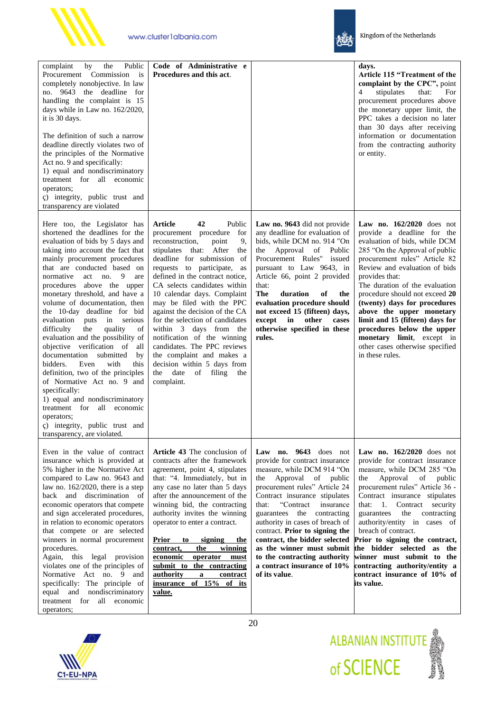



| Public<br>complaint<br>the<br>by<br>Procurement Commission<br>is<br>completely nonobjective. In law<br>no. 9643 the deadline for<br>handling the complaint is 15<br>days while in Law no. 162/2020,<br>it is 30 days.<br>The definition of such a narrow<br>deadline directly violates two of<br>the principles of the Normative<br>Act no. 9 and specifically:<br>1) equal and nondiscriminatory<br>treatment for all economic<br>operators;<br>ç) integrity, public trust and<br>transparency are violated                                                                                                                                                                                                                                                                                                                                   | Code of Administrative e<br>Procedures and this act.                                                                                                                                                                                                                                                                                                                                                                                                                                                                                                                                                |                                                                                                                                                                                                                                                                                                                                                                                                                                                                             | days.<br>Article 115 "Treatment of the<br>complaint by the CPC", point<br>$\overline{4}$<br>stipulates<br>that:<br>For<br>procurement procedures above<br>the monetary upper limit, the<br>PPC takes a decision no later<br>than 30 days after receiving<br>information or documentation<br>from the contracting authority<br>or entity.                                                                                                                                                                       |
|------------------------------------------------------------------------------------------------------------------------------------------------------------------------------------------------------------------------------------------------------------------------------------------------------------------------------------------------------------------------------------------------------------------------------------------------------------------------------------------------------------------------------------------------------------------------------------------------------------------------------------------------------------------------------------------------------------------------------------------------------------------------------------------------------------------------------------------------|-----------------------------------------------------------------------------------------------------------------------------------------------------------------------------------------------------------------------------------------------------------------------------------------------------------------------------------------------------------------------------------------------------------------------------------------------------------------------------------------------------------------------------------------------------------------------------------------------------|-----------------------------------------------------------------------------------------------------------------------------------------------------------------------------------------------------------------------------------------------------------------------------------------------------------------------------------------------------------------------------------------------------------------------------------------------------------------------------|----------------------------------------------------------------------------------------------------------------------------------------------------------------------------------------------------------------------------------------------------------------------------------------------------------------------------------------------------------------------------------------------------------------------------------------------------------------------------------------------------------------|
| Here too, the Legislator has<br>shortened the deadlines for the<br>evaluation of bids by 5 days and<br>taking into account the fact that<br>mainly procurement procedures<br>that are conducted based on<br>normative<br>act no.<br>-9<br>are<br>procedures above the upper<br>monetary threshold, and have a<br>volume of documentation, then<br>the 10-day deadline for bid<br>evaluation puts<br>serious<br>in<br>quality<br>difficulty<br>the<br>οf<br>evaluation and the possibility of<br>objective verification of<br>all<br>documentation<br>submitted<br>by<br>Even<br>with<br>bidders.<br>this<br>definition, two of the principles<br>of Normative Act no. 9 and<br>specifically:<br>1) equal and nondiscriminatory<br>treatment for all<br>economic<br>operators;<br>ç) integrity, public trust and<br>transparency, are violated. | Article<br>42<br>Public<br>procurement procedure<br>for<br>reconstruction,<br>point<br>9,<br>that: After<br>stipulates<br>the<br>deadline for submission of<br>requests to participate,<br>as<br>defined in the contract notice.<br>CA selects candidates within<br>10 calendar days. Complaint<br>may be filed with the PPC<br>against the decision of the CA<br>for the selection of candidates<br>within 3 days from the<br>notification of the winning<br>candidates. The PPC reviews<br>the complaint and makes a<br>decision within 5 days from<br>of filing<br>the date<br>the<br>complaint. | Law no. 9643 did not provide<br>any deadline for evaluation of<br>bids, while DCM no. 914 "On<br>the Approval of<br>Public<br>Procurement Rules" issued<br>pursuant to Law 9643, in<br>Article 66, point 2 provided<br>that:<br>The<br>of<br>duration<br>the<br>evaluation procedure should<br>not exceed 15 (fifteen) days,<br>other<br>except<br>in<br>cases<br>otherwise specified in these<br>rules.                                                                    | Law no. $162/2020$ does not<br>provide a deadline for the<br>evaluation of bids, while DCM<br>285 "On the Approval of public<br>procurement rules" Article 82<br>Review and evaluation of bids<br>provides that:<br>The duration of the evaluation<br>procedure should not exceed 20<br>(twenty) days for procedures<br>above the upper monetary<br>limit and 15 (fifteen) days for<br>procedures below the upper<br>monetary limit, except in<br>other cases otherwise specified<br>in these rules.           |
| Even in the value of contract<br>insurance which is provided at<br>5% higher in the Normative Act<br>compared to Law no. 9643 and<br>law no. $162/2020$ , there is a step<br>back and discrimination of<br>economic operators that compete<br>and sign accelerated procedures,<br>in relation to economic operators<br>that compete or are selected<br>winners in normal procurement<br>procedures.<br>Again,<br>this legal provision<br>violates one of the principles of<br>Normative Act no. 9 and<br>specifically: The principle of<br>equal and nondiscriminatory<br>treatment for all economic<br>operators;                                                                                                                                                                                                                             | <b>Article 43</b> The conclusion of<br>contracts after the framework<br>agreement, point 4, stipulates<br>that: "4. Immediately, but in<br>any case no later than 5 days<br>after the announcement of the<br>winning bid, the contracting<br>authority invites the winning<br>operator to enter a contract.<br><b>Prior</b><br>to<br>signing<br>the<br>contract,<br>the<br>winning<br>economic<br>operator<br>must<br>submit to the contracting<br>authority<br>$\mathbf{a}$<br>contract<br>insurance of 15% of its<br>value.                                                                       | Law no. 9643 does not<br>provide for contract insurance<br>measure, while DCM 914 "On<br>Approval<br>of public<br>the<br>procurement rules" Article 24<br>Contract insurance stipulates<br>"Contract<br>that:<br>insurance<br>guarantees the contracting<br>authority in cases of breach of<br>contract. Prior to signing the<br>contract, the bidder selected<br>as the winner must submit<br>to the contracting authority<br>a contract insurance of 10%<br>of its value. | Law no. $162/2020$ does not<br>provide for contract insurance<br>measure, while DCM 285 "On<br>the<br>Approval<br>of<br>public<br>procurement rules" Article 36 -<br>Contract insurance stipulates<br>1. Contract<br>that:<br>security<br>the<br>contracting<br>guarantees<br>authority/entity in cases of<br>breach of contract.<br>Prior to signing the contract,<br>the bidder selected as the<br>winner must submit to the<br>contracting authority/entity a<br>contract insurance of 10% of<br>its value. |



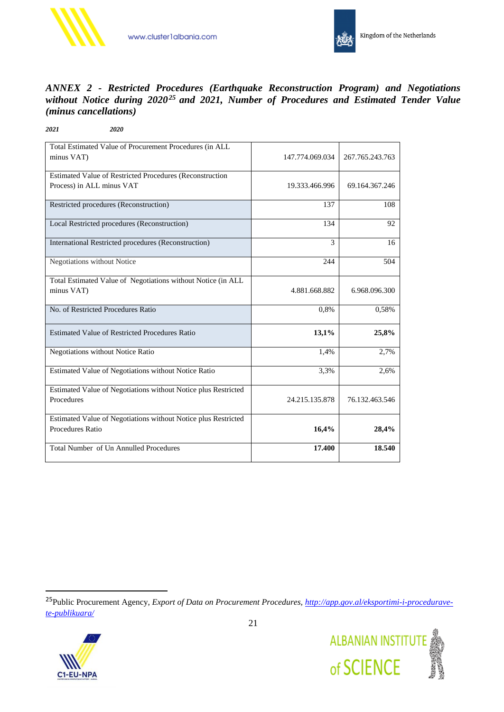



# *ANNEX 2 - Restricted Procedures (Earthquake Reconstruction Program) and Negotiations without Notice during 2020<sup>25</sup> and 2021, Number of Procedures and Estimated Tender Value (minus cancellations)*

*2021 2020*

| Total Estimated Value of Procurement Procedures (in ALL<br>minus VAT)                 | 147.774.069.034 | 267.765.243.763 |
|---------------------------------------------------------------------------------------|-----------------|-----------------|
| Estimated Value of Restricted Procedures (Reconstruction<br>Process) in ALL minus VAT | 19.333.466.996  | 69.164.367.246  |
| Restricted procedures (Reconstruction)                                                | 137             | 108             |
| Local Restricted procedures (Reconstruction)                                          | 134             | 92              |
| International Restricted procedures (Reconstruction)                                  | 3               | 16              |
| Negotiations without Notice                                                           | 244             | 504             |
| Total Estimated Value of Negotiations without Notice (in ALL<br>minus VAT)            | 4.881.668.882   | 6.968.096.300   |
| No. of Restricted Procedures Ratio                                                    | 0,8%            | 0,58%           |
| Estimated Value of Restricted Procedures Ratio                                        | 13,1%           | 25,8%           |
| <b>Negotiations without Notice Ratio</b>                                              | 1,4%            | 2,7%            |
| Estimated Value of Negotiations without Notice Ratio                                  | 3.3%            | 2,6%            |
| Estimated Value of Negotiations without Notice plus Restricted<br>Procedures          | 24.215.135.878  | 76.132.463.546  |
| Estimated Value of Negotiations without Notice plus Restricted<br>Procedures Ratio    | 16,4%           | 28,4%           |
| Total Number of Un Annulled Procedures                                                | 17.400          | 18.540          |

<sup>25</sup>Public Procurement Agency, *Export of Data on Procurement Procedures[, http://app.gov.al/eksportimi-i-procedurave](http://app.gov.al/eksportimi-i-procedurave-te-publikuara/)[te-publikuara/](http://app.gov.al/eksportimi-i-procedurave-te-publikuara/)*

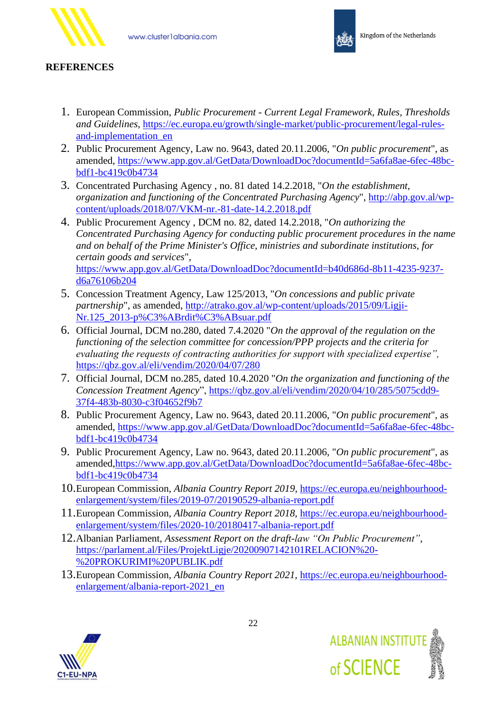

www.cluster1albania.com



#### **REFERENCES**

- 1. European Commission, *Public Procurement - Current Legal Framework, Rules, Thresholds and Guidelines*, [https://ec.europa.eu/growth/single-market/public-procurement/legal-rules](https://ec.europa.eu/growth/single-market/public-procurement/legal-rules-and-implementation_en)[and-implementation\\_en](https://ec.europa.eu/growth/single-market/public-procurement/legal-rules-and-implementation_en)
- 2. Public Procurement Agency, Law no. 9643, dated 20.11.2006, "*On public procurement*", as amended, [https://www.app.gov.al/GetData/DownloadDoc?documentId=5a6fa8ae-6fec-48bc](https://www.app.gov.al/GetData/DownloadDoc?documentId=5a6fa8ae-6fec-48bc-bdf1-bc419c0b4734)[bdf1-bc419c0b4734](https://www.app.gov.al/GetData/DownloadDoc?documentId=5a6fa8ae-6fec-48bc-bdf1-bc419c0b4734)
- 3. Concentrated Purchasing Agency , no. 81 dated 14.2.2018, "*On the establishment, organization and functioning of the Concentrated Purchasing Agency*", [http://abp.gov.al/wp](http://abp.gov.al/wp-content/uploads/2018/07/VKM-nr.-81-date-14.2.2018.pdf)[content/uploads/2018/07/VKM-nr.-81-date-14.2.2018.pdf](http://abp.gov.al/wp-content/uploads/2018/07/VKM-nr.-81-date-14.2.2018.pdf)
- 4. Public Procurement Agency , DCM no. 82, dated 14.2.2018, "*On authorizing the Concentrated Purchasing Agency for conducting public procurement procedures in the name and on behalf of the Prime Minister's Office, ministries and subordinate institutions, for certain goods and services*", [https://www.app.gov.al/GetData/DownloadDoc?documentId=b40d686d-8b11-4235-9237](https://www.app.gov.al/GetData/DownloadDoc?documentId=b40d686d-8b11-4235-9237-d6a76106b204) [d6a76106b204](https://www.app.gov.al/GetData/DownloadDoc?documentId=b40d686d-8b11-4235-9237-d6a76106b204)
- 5. Concession Treatment Agency, Law 125/2013, "*On concessions and public private partnership*", as amended, [http://atrako.gov.al/wp-content/uploads/2015/09/Ligji-](http://atrako.gov.al/wp-content/uploads/2015/09/Ligji-Nr.125_2013-p%C3%ABrdit%C3%ABsuar.pdf)[Nr.125\\_2013-p%C3%ABrdit%C3%ABsuar.pdf](http://atrako.gov.al/wp-content/uploads/2015/09/Ligji-Nr.125_2013-p%C3%ABrdit%C3%ABsuar.pdf)
- 6. Official Journal, DCM no.280, dated 7.4.2020 "*On the approval of the regulation on the functioning of the selection committee for concession/PPP projects and the criteria for evaluating the requests of contracting authorities for support with specialized expertise",*  <https://qbz.gov.al/eli/vendim/2020/04/07/280>
- 7. Official Journal, DCM no.285, dated 10.4.2020 "*On the organization and functioning of the Concession Treatment Agency*", [https://qbz.gov.al/eli/vendim/2020/04/10/285/5075cdd9-](https://qbz.gov.al/eli/vendim/2020/04/10/285/5075cdd9-37f4-483b-8030-c3f04652f9b7) [37f4-483b-8030-c3f04652f9b7](https://qbz.gov.al/eli/vendim/2020/04/10/285/5075cdd9-37f4-483b-8030-c3f04652f9b7)
- 8. Public Procurement Agency, Law no. 9643, dated 20.11.2006, "*On public procurement*", as amended, [https://www.app.gov.al/GetData/DownloadDoc?documentId=5a6fa8ae-6fec-48bc](https://www.app.gov.al/GetData/DownloadDoc?documentId=5a6fa8ae-6fec-48bc-bdf1-bc419c0b4734)[bdf1-bc419c0b4734](https://www.app.gov.al/GetData/DownloadDoc?documentId=5a6fa8ae-6fec-48bc-bdf1-bc419c0b4734)
- 9. Public Procurement Agency, Law no. 9643, dated 20.11.2006, "*On public procurement*", as amended[,https://www.app.gov.al/GetData/DownloadDoc?documentId=5a6fa8ae-6fec-48bc](https://www.app.gov.al/GetData/DownloadDoc?documentId=5a6fa8ae-6fec-48bc-bdf1-bc419c0b4734)[bdf1-bc419c0b4734](https://www.app.gov.al/GetData/DownloadDoc?documentId=5a6fa8ae-6fec-48bc-bdf1-bc419c0b4734)
- 10.European Commission, *Albania Country Report 2019*, [https://ec.europa.eu/neighbourhood](https://ec.europa.eu/neighbourhood-enlargement/system/files/2019-07/20190529-albania-report.pdf)[enlargement/system/files/2019-07/20190529-albania-report.pdf](https://ec.europa.eu/neighbourhood-enlargement/system/files/2019-07/20190529-albania-report.pdf)
- 11.European Commission, *Albania Country Report 2018,* [https://ec.europa.eu/neighbourhood](https://ec.europa.eu/neighbourhood-enlargement/system/files/2020-10/20180417-albania-report.pdf)[enlargement/system/files/2020-10/20180417-albania-report.pdf](https://ec.europa.eu/neighbourhood-enlargement/system/files/2020-10/20180417-albania-report.pdf)
- 12.Albanian Parliament, *Assessment Report on the draft-law "On Public Procurement"*, [https://parlament.al/Files/ProjektLigje/20200907142101RELACION%20-](https://parlament.al/Files/ProjektLigje/20200907142101RELACION%20-%20PROKURIMI%20PUBLIK.pdf) [%20PROKURIMI%20PUBLIK.pdf](https://parlament.al/Files/ProjektLigje/20200907142101RELACION%20-%20PROKURIMI%20PUBLIK.pdf)
- 13.European Commission, *Albania Country Report 2021,* [https://ec.europa.eu/neighbourhood](https://ec.europa.eu/neighbourhood-enlargement/albania-report-2021_en)[enlargement/albania-report-2021\\_en](https://ec.europa.eu/neighbourhood-enlargement/albania-report-2021_en)